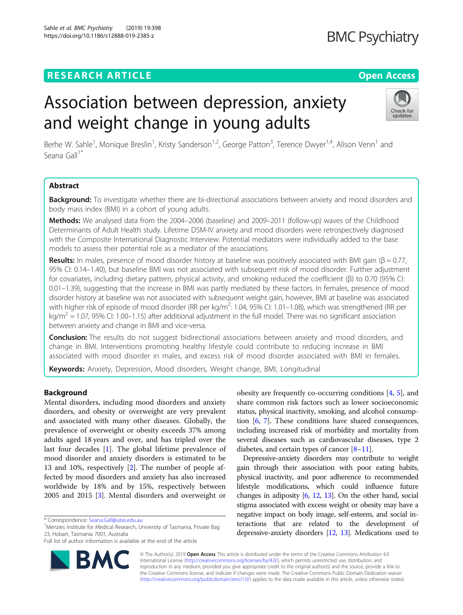# **RESEARCH ARTICLE Example 2014 CONSIDERING A RESEARCH ARTICLE**

# Association between depression, anxiety and weight change in young adults

Berhe W. Sahle<sup>1</sup>, Monique Breslin<sup>1</sup>, Kristy Sanderson<sup>1,2</sup>, George Patton<sup>3</sup>, Terence Dwyer<sup>1,4</sup>, Alison Venn<sup>1</sup> and Seana Gall<sup>1\*</sup>

### Abstract

Background: To investigate whether there are bi-directional associations between anxiety and mood disorders and body mass index (BMI) in a cohort of young adults.

Methods: We analysed data from the 2004–2006 (baseline) and 2009–2011 (follow-up) waves of the Childhood Determinants of Adult Health study. Lifetime DSM-IV anxiety and mood disorders were retrospectively diagnosed with the Composite International Diagnostic Interview. Potential mediators were individually added to the base models to assess their potential role as a mediator of the associations.

**Results:** In males, presence of mood disorder history at baseline was positively associated with BMI gain ( $\beta = 0.77$ , 95% CI: 0.14–1.40), but baseline BMI was not associated with subsequent risk of mood disorder. Further adjustment for covariates, including dietary pattern, physical activity, and smoking reduced the coefficient (β) to 0.70 (95% CI: 0.01–1.39), suggesting that the increase in BMI was partly mediated by these factors. In females, presence of mood disorder history at baseline was not associated with subsequent weight gain, however, BMI at baseline was associated with higher risk of episode of mood disorder (RR per kg/m<sup>2</sup>: 1.04, 95% Cl: 1.01–1.08), which was strengthened (RR per  $kg/m^2 = 1.07$ , 95% CI: 1.00–1.15) after additional adjustment in the full model. There was no significant association between anxiety and change in BMI and vice-versa.

**Conclusion:** The results do not suggest bidirectional associations between anxiety and mood disorders, and change in BMI. Interventions promoting healthy lifestyle could contribute to reducing increase in BMI associated with mood disorder in males, and excess risk of mood disorder associated with BMI in females.

Keywords: Anxiety, Depression, Mood disorders, Weight change, BMI, Longitudinal

#### Background

Mental disorders, including mood disorders and anxiety disorders, and obesity or overweight are very prevalent and associated with many other diseases. Globally, the prevalence of overweight or obesity exceeds 37% among adults aged 18 years and over, and has tripled over the last four decades [[1\]](#page-9-0). The global lifetime prevalence of mood disorder and anxiety disorders is estimated to be 13 and 10%, respectively [[2\]](#page-9-0). The number of people affected by mood disorders and anxiety has also increased worldwide by 18% and by 15%, respectively between 2005 and 2015 [[3\]](#page-9-0). Mental disorders and overweight or

\* Correspondence: [Seana.Gall@utas.edu.au](mailto:Seana.Gall@utas.edu.au) <sup>1</sup>

<sup>1</sup>Menzies Institute for Medical Research, University of Tasmania, Private Bag 23, Hobart, Tasmania 7001, Australia

Full list of author information is available at the end of the article

© The Author(s). 2019 **Open Access** This article is distributed under the terms of the Creative Commons Attribution 4.0 International License [\(http://creativecommons.org/licenses/by/4.0/](http://creativecommons.org/licenses/by/4.0/)), which permits unrestricted use, distribution, and reproduction in any medium, provided you give appropriate credit to the original author(s) and the source, provide a link to the Creative Commons license, and indicate if changes were made. The Creative Commons Public Domain Dedication waiver [\(http://creativecommons.org/publicdomain/zero/1.0/](http://creativecommons.org/publicdomain/zero/1.0/)) applies to the data made available in this article, unless otherwise stated.

obesity are frequently co-occurring conditions [\[4](#page-9-0), [5](#page-9-0)], and share common risk factors such as lower socioeconomic status, physical inactivity, smoking, and alcohol consumption [\[6,](#page-9-0) [7](#page-9-0)]. These conditions have shared consequences, including increased risk of morbidity and mortality from several diseases such as cardiovascular diseases, type 2 diabetes, and certain types of cancer  $[8-11]$  $[8-11]$  $[8-11]$  $[8-11]$ .

Depressive-anxiety disorders may contribute to weight gain through their association with poor eating habits, physical inactivity, and poor adherence to recommended lifestyle modifications, which could influence future changes in adiposity  $[6, 12, 13]$  $[6, 12, 13]$  $[6, 12, 13]$  $[6, 12, 13]$  $[6, 12, 13]$ . On the other hand, social stigma associated with excess weight or obesity may have a negative impact on body image, self-esteem, and social interactions that are related to the development of depressive-anxiety disorders [[12](#page-9-0), [13\]](#page-9-0). Medications used to



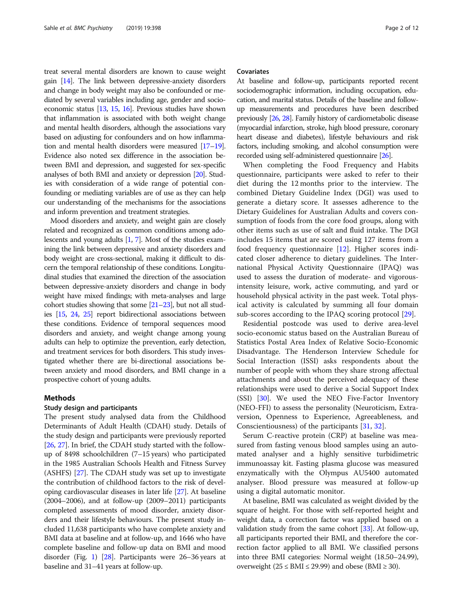treat several mental disorders are known to cause weight gain  $[14]$  $[14]$ . The link between depressive-anxiety disorders and change in body weight may also be confounded or mediated by several variables including age, gender and socioeconomic status [[13,](#page-9-0) [15](#page-9-0), [16](#page-9-0)]. Previous studies have shown that inflammation is associated with both weight change and mental health disorders, although the associations vary based on adjusting for confounders and on how inflammation and mental health disorders were measured [[17](#page-9-0)–[19](#page-9-0)]. Evidence also noted sex difference in the association between BMI and depression, and suggested for sex-specific analyses of both BMI and anxiety or depression [[20\]](#page-10-0). Studies with consideration of a wide range of potential confounding or mediating variables are of use as they can help our understanding of the mechanisms for the associations and inform prevention and treatment strategies.

Mood disorders and anxiety, and weight gain are closely related and recognized as common conditions among adolescents and young adults [\[1,](#page-9-0) [7\]](#page-9-0). Most of the studies examining the link between depressive and anxiety disorders and body weight are cross-sectional, making it difficult to discern the temporal relationship of these conditions. Longitudinal studies that examined the direction of the association between depressive-anxiety disorders and change in body weight have mixed findings; with meta-analyses and large cohort studies showing that some  $[21-23]$  $[21-23]$  $[21-23]$  $[21-23]$  $[21-23]$ , but not all studies [[15](#page-9-0), [24](#page-10-0), [25\]](#page-10-0) report bidirectional associations between these conditions. Evidence of temporal sequences mood disorders and anxiety, and weight change among young adults can help to optimize the prevention, early detection, and treatment services for both disorders. This study investigated whether there are bi-directional associations between anxiety and mood disorders, and BMI change in a prospective cohort of young adults.

#### Methods

#### Study design and participants

The present study analysed data from the Childhood Determinants of Adult Health (CDAH) study. Details of the study design and participants were previously reported [[26](#page-10-0), [27\]](#page-10-0). In brief, the CDAH study started with the followup of 8498 schoolchildren (7–15 years) who participated in the 1985 Australian Schools Health and Fitness Survey (ASHFS) [\[27](#page-10-0)]. The CDAH study was set up to investigate the contribution of childhood factors to the risk of developing cardiovascular diseases in later life [[27](#page-10-0)]. At baseline (2004–2006), and at follow-up (2009–2011) participants completed assessments of mood disorder, anxiety disorders and their lifestyle behaviours. The present study included 11,638 participants who have complete anxiety and BMI data at baseline and at follow-up, and 1646 who have complete baseline and follow-up data on BMI and mood disorder (Fig. [1](#page-2-0)) [[28](#page-10-0)]. Participants were 26–36 years at baseline and 31–41 years at follow-up.

#### Covariates

At baseline and follow-up, participants reported recent sociodemographic information, including occupation, education, and marital status. Details of the baseline and followup measurements and procedures have been described previously [\[26,](#page-10-0) [28\]](#page-10-0). Family history of cardiometabolic disease (myocardial infarction, stroke, high blood pressure, coronary heart disease and diabetes), lifestyle behaviours and risk factors, including smoking, and alcohol consumption were recorded using self-administered questionnaire [\[26](#page-10-0)].

When completing the Food Frequency and Habits questionnaire, participants were asked to refer to their diet during the 12 months prior to the interview. The combined Dietary Guideline Index (DGI) was used to generate a dietary score. It assesses adherence to the Dietary Guidelines for Australian Adults and covers consumption of foods from the core food groups, along with other items such as use of salt and fluid intake. The DGI includes 15 items that are scored using 127 items from a food frequency questionnaire [\[12](#page-9-0)]. Higher scores indicated closer adherence to dietary guidelines. The International Physical Activity Questionnaire (IPAQ) was used to assess the duration of moderate- and vigorousintensity leisure, work, active commuting, and yard or household physical activity in the past week. Total physical activity is calculated by summing all four domain sub-scores according to the IPAQ scoring protocol [[29\]](#page-10-0).

Residential postcode was used to derive area-level socio-economic status based on the Australian Bureau of Statistics Postal Area Index of Relative Socio-Economic Disadvantage. The Henderson Interview Schedule for Social Interaction (ISSI) asks respondents about the number of people with whom they share strong affectual attachments and about the perceived adequacy of these relationships were used to derive a Social Support Index (SSI) [[30\]](#page-10-0). We used the NEO Five-Factor Inventory (NEO-FFI) to assess the personality (Neuroticism, Extraversion, Openness to Experience, Agreeableness, and Conscientiousness) of the participants [[31,](#page-10-0) [32](#page-10-0)].

Serum C-reactive protein (CRP) at baseline was measured from fasting venous blood samples using an automated analyser and a highly sensitive turbidimetric immunoassay kit. Fasting plasma glucose was measured enzymatically with the Olympus AU5400 automated analyser. Blood pressure was measured at follow-up using a digital automatic monitor.

At baseline, BMI was calculated as weight divided by the square of height. For those with self-reported height and weight data, a correction factor was applied based on a validation study from the same cohort [[33](#page-10-0)]. At follow-up, all participants reported their BMI, and therefore the correction factor applied to all BMI. We classified persons into three BMI categories: Normal weight (18.50–24.99), overweight ( $25 \leq BMI \leq 29.99$ ) and obese ( $BMI \geq 30$ ).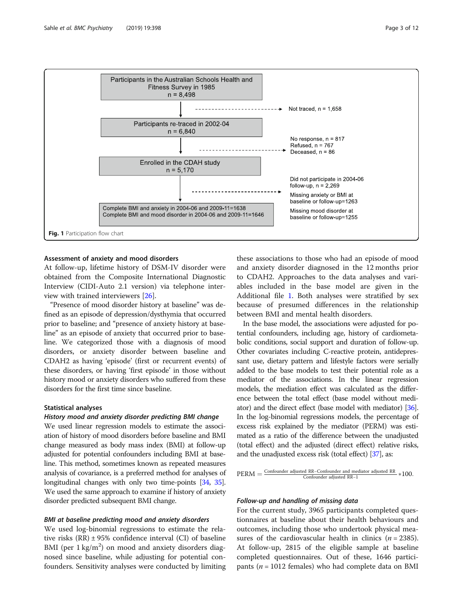<span id="page-2-0"></span>

#### Assessment of anxiety and mood disorders

At follow-up, lifetime history of DSM-IV disorder were obtained from the Composite International Diagnostic Interview (CIDI-Auto 2.1 version) via telephone interview with trained interviewers [\[26\]](#page-10-0).

"Presence of mood disorder history at baseline" was defined as an episode of depression/dysthymia that occurred prior to baseline; and "presence of anxiety history at baseline" as an episode of anxiety that occurred prior to baseline. We categorized those with a diagnosis of mood disorders, or anxiety disorder between baseline and CDAH2 as having 'episode' (first or recurrent events) of these disorders, or having 'first episode' in those without history mood or anxiety disorders who suffered from these disorders for the first time since baseline.

#### Statistical analyses

#### History mood and anxiety disorder predicting BMI change

We used linear regression models to estimate the association of history of mood disorders before baseline and BMI change measured as body mass index (BMI) at follow-up adjusted for potential confounders including BMI at baseline. This method, sometimes known as repeated measures analysis of covariance, is a preferred method for analyses of longitudinal changes with only two time-points [[34](#page-10-0), [35](#page-10-0)]. We used the same approach to examine if history of anxiety disorder predicted subsequent BMI change.

#### BMI at baseline predicting mood and anxiety disorders

We used log-binomial regressions to estimate the relative risks  $(RR) \pm 95\%$  confidence interval  $(CI)$  of baseline BMI (per  $1 \text{ kg/m}^2$ ) on mood and anxiety disorders diagnosed since baseline, while adjusting for potential confounders. Sensitivity analyses were conducted by limiting

these associations to those who had an episode of mood and anxiety disorder diagnosed in the 12 months prior to CDAH2. Approaches to the data analyses and variables included in the base model are given in the Additional file [1](#page-9-0). Both analyses were stratified by sex because of presumed differences in the relationship between BMI and mental health disorders.

In the base model, the associations were adjusted for potential confounders, including age, history of cardiometabolic conditions, social support and duration of follow-up. Other covariates including C-reactive protein, antidepressant use, dietary pattern and lifestyle factors were serially added to the base models to test their potential role as a mediator of the associations. In the linear regression models, the mediation effect was calculated as the difference between the total effect (base model without mediator) and the direct effect (base model with mediator) [\[36](#page-10-0)]. In the log-binomial regressions models, the percentage of excess risk explained by the mediator (PERM) was estimated as a ratio of the difference between the unadjusted (total effect) and the adjusted (direct effect) relative risks, and the unadjusted excess risk (total effect) [[37](#page-10-0)], as:



#### Follow-up and handling of missing data

For the current study, 3965 participants completed questionnaires at baseline about their health behaviours and outcomes, including those who undertook physical measures of the cardiovascular health in clinics ( $n = 2385$ ). At follow-up, 2815 of the eligible sample at baseline completed questionnaires. Out of these, 1646 participants ( $n = 1012$  females) who had complete data on BMI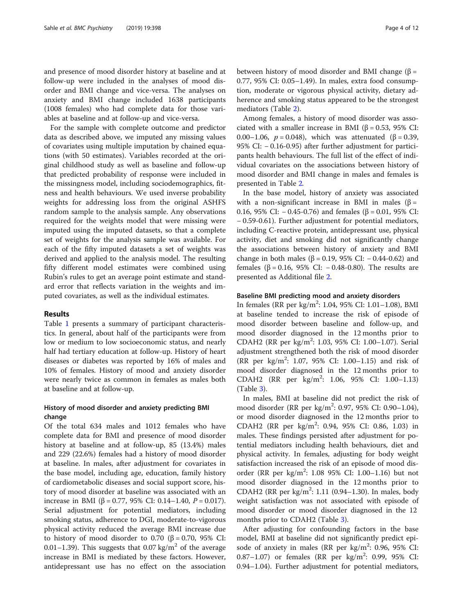and presence of mood disorder history at baseline and at follow-up were included in the analyses of mood disorder and BMI change and vice-versa. The analyses on anxiety and BMI change included 1638 participants (1008 females) who had complete data for those variables at baseline and at follow-up and vice-versa.

For the sample with complete outcome and predictor data as described above, we imputed any missing values of covariates using multiple imputation by chained equations (with 50 estimates). Variables recorded at the original childhood study as well as baseline and follow-up that predicted probability of response were included in the missingness model, including sociodemographics, fitness and health behaviours. We used inverse probability weights for addressing loss from the original ASHFS random sample to the analysis sample. Any observations required for the weights model that were missing were imputed using the imputed datasets, so that a complete set of weights for the analysis sample was available. For each of the fifty imputed datasets a set of weights was derived and applied to the analysis model. The resulting fifty different model estimates were combined using Rubin's rules to get an average point estimate and standard error that reflects variation in the weights and imputed covariates, as well as the individual estimates.

#### Results

Table [1](#page-4-0) presents a summary of participant characteristics. In general, about half of the participants were from low or medium to low socioeconomic status, and nearly half had tertiary education at follow-up. History of heart diseases or diabetes was reported by 16% of males and 10% of females. History of mood and anxiety disorder were nearly twice as common in females as males both at baseline and at follow-up.

#### History of mood disorder and anxiety predicting BMI change

Of the total 634 males and 1012 females who have complete data for BMI and presence of mood disorder history at baseline and at follow-up, 85 (13.4%) males and 229 (22.6%) females had a history of mood disorder at baseline. In males, after adjustment for covariates in the base model, including age, education, family history of cardiometabolic diseases and social support score, history of mood disorder at baseline was associated with an increase in BMI (β = 0.77, 95% CI: 0.14–1.40,  $P = 0.017$ ). Serial adjustment for potential mediators, including smoking status, adherence to DGI, moderate-to-vigorous physical activity reduced the average BMI increase due to history of mood disorder to 0.70 (β = 0.70, 95% CI: 0.01–1.39). This suggests that 0.07 kg/m<sup>2</sup> of the average increase in BMI is mediated by these factors. However, antidepressant use has no effect on the association between history of mood disorder and BMI change (β = 0.77, 95% CI: 0.05–1.49). In males, extra food consumption, moderate or vigorous physical activity, dietary adherence and smoking status appeared to be the strongest mediators (Table [2](#page-6-0)).

Among females, a history of mood disorder was associated with a smaller increase in BMI ( $β = 0.53$ , 95% CI: 0.00–1.06,  $p = 0.048$ ), which was attenuated (β = 0.39, 95% CI: − 0.16-0.95) after further adjustment for participants health behaviours. The full list of the effect of individual covariates on the associations between history of mood disorder and BMI change in males and females is presented in Table [2](#page-6-0).

In the base model, history of anxiety was associated with a non-significant increase in BMI in males ( $\beta$  = 0.16, 95% CI:  $-$  0.45-0.76) and females (β = 0.01, 95% CI: − 0.59-0.61). Further adjustment for potential mediators, including C-reactive protein, antidepressant use, physical activity, diet and smoking did not significantly change the associations between history of anxiety and BMI change in both males ( $β = 0.19$ , 95% CI:  $-0.44 - 0.62$ ) and females (β = 0.16, 95% CI: − 0.48-0.80). The results are presented as Additional file [2.](#page-9-0)

#### Baseline BMI predicting mood and anxiety disorders

In females (RR per kg/m<sup>2</sup>: 1.04, 95% CI: 1.01-1.08), BMI at baseline tended to increase the risk of episode of mood disorder between baseline and follow-up, and mood disorder diagnosed in the 12 months prior to CDAH2 (RR per kg/m<sup>2</sup>: 1.03, 95% CI: 1.00-1.07). Serial adjustment strengthened both the risk of mood disorder (RR per kg/m<sup>2</sup> : 1.07, 95% CI: 1.00–1.15) and risk of mood disorder diagnosed in the 12 months prior to CDAH2 (RR per kg/m<sup>2</sup>: 1.06, 95% CI: 1.00-1.13) (Table [3\)](#page-7-0).

In males, BMI at baseline did not predict the risk of mood disorder (RR per kg/m<sup>2</sup>: 0.97, 95% CI: 0.90-1.04), or mood disorder diagnosed in the 12 months prior to CDAH2 (RR per kg/m<sup>2</sup>: 0.94, 95% CI: 0.86, 1.03) in males. These findings persisted after adjustment for potential mediators including health behaviours, diet and physical activity. In females, adjusting for body weight satisfaction increased the risk of an episode of mood disorder (RR per kg/m<sup>2</sup>: 1.08 95% CI: 1.00-1.16) but not mood disorder diagnosed in the 12 months prior to CDAH2 (RR per kg/m<sup>2</sup>: 1.11 (0.94-1.30). In males, body weight satisfaction was not associated with episode of mood disorder or mood disorder diagnosed in the 12 months prior to CDAH2 (Table [3](#page-7-0)).

After adjusting for confounding factors in the base model, BMI at baseline did not significantly predict episode of anxiety in males (RR per kg/m<sup>2</sup>: 0.96, 95% CI: 0.87-1.07) or females (RR per kg/m<sup>2</sup>: 0.99, 95% CI: 0.94–1.04). Further adjustment for potential mediators,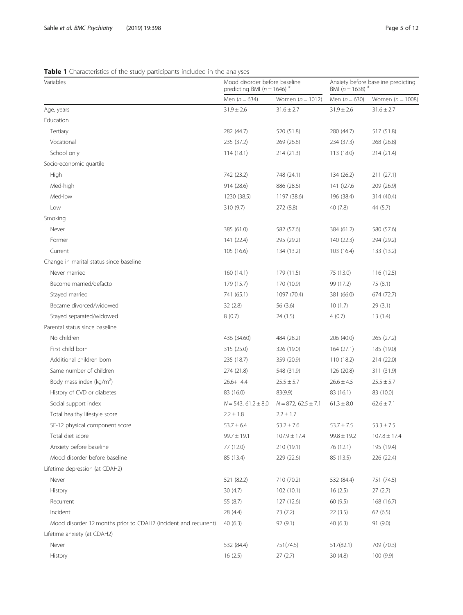## <span id="page-4-0"></span>Table 1 Characteristics of the study participants included in the analyses

| Variables                                                       | Mood disorder before baseline<br>predicting BMI ( $n = 1646$ ) <sup>#</sup> |                         | Anxiety before baseline predicting<br>BMI $(n = 1638)^{n}$ |                    |
|-----------------------------------------------------------------|-----------------------------------------------------------------------------|-------------------------|------------------------------------------------------------|--------------------|
|                                                                 | Men $(n = 634)$                                                             | Women $(n = 1012)$      | Men $(n = 630)$                                            | Women $(n = 1008)$ |
| Age, years                                                      | $31.9 \pm 2.6$                                                              | $31.6 \pm 2.7$          | $31.9 \pm 2.6$                                             | $31.6 \pm 2.7$     |
| Education                                                       |                                                                             |                         |                                                            |                    |
| Tertiary                                                        | 282 (44.7)                                                                  | 520 (51.8)              | 280 (44.7)                                                 | 517 (51.8)         |
| Vocational                                                      | 235 (37.2)                                                                  | 269 (26.8)              | 234 (37.3)                                                 | 268 (26.8)         |
| School only                                                     | 114(18.1)                                                                   | 214(21.3)               | 113 (18.0)                                                 | 214 (21.4)         |
| Socio-economic quartile                                         |                                                                             |                         |                                                            |                    |
| High                                                            | 742 (23.2)                                                                  | 748 (24.1)              | 134 (26.2)                                                 | 211(27.1)          |
| Med-high                                                        | 914 (28.6)                                                                  | 886 (28.6)              | 141 ()27.6                                                 | 209 (26.9)         |
| Med-low                                                         | 1230 (38.5)                                                                 | 1197 (38.6)             | 196 (38.4)                                                 | 314 (40.4)         |
| Low                                                             | 310 (9.7)                                                                   | 272 (8.8)               | 40(7.8)                                                    | 44 (5.7)           |
| Smoking                                                         |                                                                             |                         |                                                            |                    |
| Never                                                           | 385 (61.0)                                                                  | 582 (57.6)              | 384 (61.2)                                                 | 580 (57.6)         |
| Former                                                          | 141 (22.4)                                                                  | 295 (29.2)              | 140 (22.3)                                                 | 294 (29.2)         |
| Current                                                         | 105 (16.6)                                                                  | 134 (13.2)              | 103 (16.4)                                                 | 133 (13.2)         |
| Change in marital status since baseline                         |                                                                             |                         |                                                            |                    |
| Never married                                                   | 160(14.1)                                                                   | 179 (11.5)              | 75 (13.0)                                                  | 116(12.5)          |
| Become married/defacto                                          | 179 (15.7)                                                                  | 170 (10.9)              | 99 (17.2)                                                  | 75 (8.1)           |
| Stayed married                                                  | 741 (65.1)                                                                  | 1097 (70.4)             | 381 (66.0)                                                 | 674 (72.7)         |
| Became divorced/widowed                                         | 32(2.8)                                                                     | 56 (3.6)                | 10(1.7)                                                    | 29(3.1)            |
| Stayed separated/widowed                                        | 8(0.7)                                                                      | 24 (1.5)                | 4(0.7)                                                     | 13(1.4)            |
| Parental status since baseline                                  |                                                                             |                         |                                                            |                    |
| No children                                                     | 436 (34.60)                                                                 | 484 (28.2)              | 206 (40.0)                                                 | 265 (27.2)         |
| First child born                                                | 315 (25.0)                                                                  | 326 (19.0)              | 164(27.1)                                                  | 185 (19.0)         |
| Additional children born                                        | 235 (18.7)                                                                  | 359 (20.9)              | 110(18.2)                                                  | 214 (22.0)         |
| Same number of children                                         | 274 (21.8)                                                                  | 548 (31.9)              | 126 (20.8)                                                 | 311 (31.9)         |
| Body mass index ( $kg/m2$ )                                     | $26.6+ 4.4$                                                                 | $25.5 \pm 5.7$          | $26.6 \pm 4.5$                                             | $25.5 \pm 5.7$     |
| History of CVD or diabetes                                      | 83 (16.0)                                                                   | 83(9.9)                 | 83 (16.1)                                                  | 83 (10.0)          |
| Social support index                                            | $N = 543, 61.2 \pm 8.0$                                                     | $N = 872, 62.5 \pm 7.1$ | $61.3 \pm 8.0$                                             | $62.6 \pm 7.1$     |
| Total healthy lifestyle score                                   | $2.2 \pm 1.8$                                                               | $2.2 \pm 1.7$           |                                                            |                    |
| SF-12 physical component score                                  | $53.7 \pm 6.4$                                                              | $53.2 \pm 7.6$          | $53.7 \pm 7.5$                                             | $53.3 \pm 7.5$     |
| Total diet score                                                | $99.7 \pm 19.1$                                                             | $107.9 \pm 17.4$        | $99.8 \pm 19.2$                                            | $107.8 \pm 17.4$   |
| Anxiety before baseline                                         | 77 (12.0)                                                                   | 210 (19.1)              | 76 (12.1)                                                  | 195 (19.4)         |
| Mood disorder before baseline                                   | 85 (13.4)                                                                   | 229 (22.6)              | 85 (13.5)                                                  | 226 (22.4)         |
| Lifetime depression (at CDAH2)                                  |                                                                             |                         |                                                            |                    |
| Never                                                           | 521 (82.2)                                                                  | 710 (70.2)              | 532 (84.4)                                                 | 751 (74.5)         |
| History                                                         | 30(4.7)                                                                     | 102(10.1)               | 16(2.5)                                                    | 27(2.7)            |
| Recurrent                                                       | 55 (8.7)                                                                    | 127 (12.6)              | 60 (9.5)                                                   | 168(16.7)          |
| Incident                                                        | 28 (4.4)                                                                    | 73 (7.2)                | 22(3.5)                                                    | 62(6.5)            |
| Mood disorder 12 months prior to CDAH2 (incident and recurrent) | 40(6.3)                                                                     | 92(9.1)                 | 40(6.3)                                                    | 91(9.0)            |
| Lifetime anxiety (at CDAH2)                                     |                                                                             |                         |                                                            |                    |
| Never                                                           | 532 (84.4)                                                                  | 751(74.5)               | 517(82.1)                                                  | 709 (70.3)         |
| History                                                         | 16(2.5)                                                                     | 27(2.7)                 | 30(4.8)                                                    | 100 (9.9)          |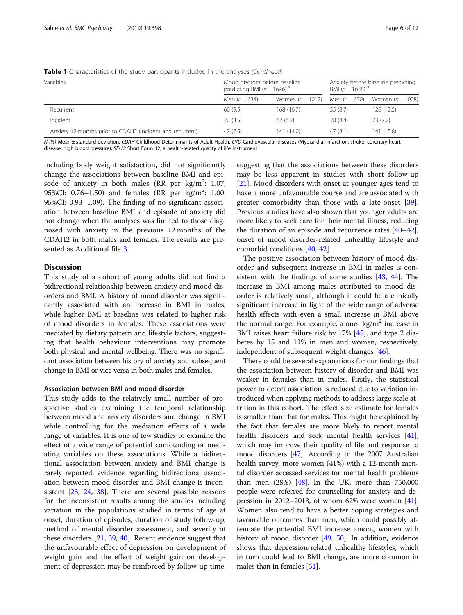| Variables                                                 | Mood disorder before baseline<br>predicting BMI ( $n = 1646$ ) <sup>#</sup> |                    | Anxiety before baseline predicting<br>BMI $(n = 1638)^{H}$ |                    |
|-----------------------------------------------------------|-----------------------------------------------------------------------------|--------------------|------------------------------------------------------------|--------------------|
|                                                           | Men $(n = 634)$                                                             | Women $(n = 1012)$ | Men $(n = 630)$                                            | Women $(n = 1008)$ |
| Recurrent                                                 | 60(9.5)                                                                     | 168 (16.7)         | 55 (8.7)                                                   | 126 (12.5)         |
| Incident                                                  | 22(3.5)                                                                     | 62(6.2)            | 28(4.4)                                                    | 73 (7.2)           |
| Anxiety 12 months prior to CDAH2 (incident and recurrent) | 47(7.5)                                                                     | 141 (14.0)         | 47(8.1)                                                    | 141 (15.8)         |

Table 1 Characteristics of the study participants included in the analyses (Continued)

N (%) Mean ± standard deviation, CDAH Childhood Determinants of Adult Health, CVD Cardiovascular diseases (Myocardial infarction, stroke, coronary heart disease, high blood pressure), SF-12 Short Form 12, a health-related quality of life instrument

including body weight satisfaction, did not significantly change the associations between baseline BMI and episode of anxiety in both males (RR per  $\text{kg/m}^2$ : 1.07, 95%CI: 0.76-1.50) and females (RR per kg/m<sup>2</sup>: 1.00, 95%CI: 0.93–1.09). The finding of no significant association between baseline BMI and episode of anxiety did not change when the analyses was limited to those diagnosed with anxiety in the previous 12 months of the CDAH2 in both males and females. The results are presented as Additional file [3](#page-9-0).

#### **Discussion**

This study of a cohort of young adults did not find a bidirectional relationship between anxiety and mood disorders and BMI. A history of mood disorder was significantly associated with an increase in BMI in males, while higher BMI at baseline was related to higher risk of mood disorders in females. These associations were mediated by dietary pattern and lifestyle factors, suggesting that health behaviour interventions may promote both physical and mental wellbeing. There was no significant association between history of anxiety and subsequent change in BMI or vice versa in both males and females.

#### Association between BMI and mood disorder

This study adds to the relatively small number of prospective studies examining the temporal relationship between mood and anxiety disorders and change in BMI while controlling for the mediation effects of a wide range of variables. It is one of few studies to examine the effect of a wide range of potential confounding or mediating variables on these associations. While a bidirectional association between anxiety and BMI change is rarely reported, evidence regarding bidirectional association between mood disorder and BMI change is inconsistent [[23,](#page-10-0) [24](#page-10-0), [38](#page-10-0)]. There are several possible reasons for the inconsistent results among the studies including variation in the populations studied in terms of age at onset, duration of episodes, duration of study follow-up, method of mental disorder assessment, and severity of these disorders [\[21](#page-10-0), [39](#page-10-0), [40](#page-10-0)]. Recent evidence suggest that the unfavourable effect of depression on development of weight gain and the effect of weight gain on development of depression may be reinforced by follow-up time,

suggesting that the associations between these disorders may be less apparent in studies with short follow-up [[21\]](#page-10-0). Mood disorders with onset at younger ages tend to have a more unfavourable course and are associated with greater comorbidity than those with a late-onset [\[39](#page-10-0)]. Previous studies have also shown that younger adults are more likely to seek care for their mental illness, reducing the duration of an episode and recurrence rates [[40](#page-10-0)–[42](#page-10-0)], onset of mood disorder-related unhealthy lifestyle and comorbid conditions [[40,](#page-10-0) [42\]](#page-10-0).

The positive association between history of mood disorder and subsequent increase in BMI in males is consistent with the findings of some studies [\[43](#page-10-0), [44\]](#page-10-0). The increase in BMI among males attributed to mood disorder is relatively small, although it could be a clinically significant increase in light of the wide range of adverse health effects with even a small increase in BMI above the normal range. For example, a one-  $kg/m<sup>2</sup>$  increase in BMI raises heart failure risk by 17% [\[45](#page-10-0)], and type 2 diabetes by 15 and 11% in men and women, respectively, independent of subsequent weight changes [[46\]](#page-10-0).

There could be several explanations for our findings that the association between history of disorder and BMI was weaker in females than in males. Firstly, the statistical power to detect association is reduced due to variation introduced when applying methods to address large scale attrition in this cohort. The effect size estimate for females is smaller than that for males. This might be explained by the fact that females are more likely to report mental health disorders and seek mental health services [[41](#page-10-0)], which may improve their quality of life and response to mood disorders [\[47\]](#page-10-0). According to the 2007 Australian health survey, more women (41%) with a 12-month mental disorder accessed services for mental health problems than men (28%) [\[48\]](#page-10-0). In the UK, more than 750,000 people were referred for counselling for anxiety and depression in 2012–2013, of whom 62% were women  $[41]$  $[41]$  $[41]$ . Women also tend to have a better coping strategies and favourable outcomes than men, which could possibly attenuate the potential BMI increase among women with history of mood disorder [[49](#page-10-0), [50](#page-10-0)]. In addition, evidence shows that depression-related unhealthy lifestyles, which in turn could lead to BMI change, are more common in males than in females [\[51\]](#page-10-0).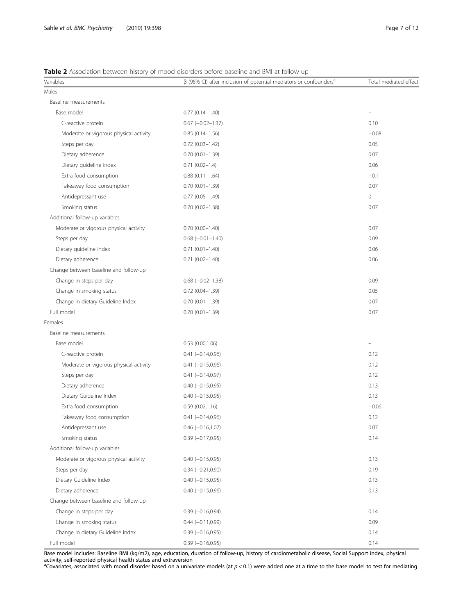### <span id="page-6-0"></span>Table 2 Association between history of mood disorders before baseline and BMI at follow-up

| Variables                              | $\beta$ (95% CI) after inclusion of potential mediators or confounders <sup>a</sup> | Total mediated effect    |
|----------------------------------------|-------------------------------------------------------------------------------------|--------------------------|
| Males                                  |                                                                                     |                          |
| Baseline measurements                  |                                                                                     |                          |
| Base model                             | $0.77$ $(0.14 - 1.40)$                                                              | $\overline{\phantom{0}}$ |
| C-reactive protein                     | $0.67$ ( $-0.02 - 1.37$ )                                                           | 0.10                     |
| Moderate or vigorous physical activity | $0.85(0.14 - 1.56)$                                                                 | $-0.08$                  |
| Steps per day                          | $0.72$ $(0.03 - 1.42)$                                                              | 0.05                     |
| Dietary adherence                      | $0.70(0.01 - 1.39)$                                                                 | 0.07                     |
| Dietary guideline index                | $0.71(0.02 - 1.4)$                                                                  | 0.06                     |
| Extra food consumption                 | $0.88(0.11 - 1.64)$                                                                 | $-0.11$                  |
| Takeaway food consumption              | $0.70(0.01 - 1.39)$                                                                 | 0.07                     |
| Antidepressant use                     | $0.77$ $(0.05 - 1.49)$                                                              | $\circ$                  |
| Smoking status                         | $0.70$ $(0.02 - 1.38)$                                                              | 0.07                     |
| Additional follow-up variables         |                                                                                     |                          |
| Moderate or vigorous physical activity | $0.70(0.00 - 1.40)$                                                                 | 0.07                     |
| Steps per day                          | $0.68$ $(-0.01 - 1.40)$                                                             | 0.09                     |
| Dietary guideline index                | $0.71(0.01 - 1.40)$                                                                 | 0.06                     |
| Dietary adherence                      | $0.71$ $(0.02 - 1.40)$                                                              | 0.06                     |
| Change between baseline and follow-up  |                                                                                     |                          |
| Change in steps per day                | $0.68$ ( $-0.02-1.38$ )                                                             | 0.09                     |
| Change in smoking status               | $0.72$ $(0.04 - 1.39)$                                                              | 0.05                     |
| Change in dietary Guideline Index      | $0.70(0.01 - 1.39)$                                                                 | 0.07                     |
| Full model                             | $0.70(0.01 - 1.39)$                                                                 | 0.07                     |
| Females                                |                                                                                     |                          |
| Baseline measurements                  |                                                                                     |                          |
| Base model                             | $0.53$ $(0.00, 1.06)$                                                               | ۳                        |
| C-reactive protein                     | $0.41 (-0.14, 0.96)$                                                                | 0.12                     |
| Moderate or vigorous physical activity | $0.41 (-0.15, 0.96)$                                                                | 0.12                     |
| Steps per day                          | $0.41 (-0.14, 0.97)$                                                                | 0.12                     |
| Dietary adherence                      | $0.40 (-0.15, 0.95)$                                                                | 0.13                     |
| Dietary Guideline Index                | $0.40 (-0.15, 0.95)$                                                                | 0.13                     |
| Extra food consumption                 | 0.59(0.02, 1.16)                                                                    | $-0.06$                  |
| Takeaway food consumption              | $0.41 (-0.14, 0.96)$                                                                | 0.12                     |
| Antidepressant use                     | $0.46 (-0.16, 1.07)$                                                                | 0.07                     |
| Smoking status                         | $0.39$ ( $-0.17,0.95$ )                                                             | 0.14                     |
| Additional follow-up variables         |                                                                                     |                          |
| Moderate or vigorous physical activity | $0.40 (-0.15, 0.95)$                                                                | 0.13                     |
| Steps per day                          | $0.34 (-0.21, 0.90)$                                                                | 0.19                     |
| Dietary Guideline Index                | $0.40 (-0.15, 0.95)$                                                                | 0.13                     |
| Dietary adherence                      | $0.40 (-0.15, 0.96)$                                                                | 0.13                     |
| Change between baseline and follow-up  |                                                                                     |                          |
| Change in steps per day                | $0.39 (-0.16, 0.94)$                                                                | 0.14                     |
| Change in smoking status               | $0.44 (-0.11, 0.99)$                                                                | 0.09                     |
| Change in dietary Guideline Index      | $0.39$ (-0.16,0.95)                                                                 | 0.14                     |
| Full model                             | $0.39$ (-0.16,0.95)                                                                 | 0.14                     |

Base model includes: Baseline BMI (kg/m2), age, education, duration of follow-up, history of cardiometabolic disease, Social Support index, physical activity, self-reported physical health status and extraversion<br><sup>a</sup>Covariates, associated with mood disorder based on a univariate models (at p < 0.1) were added one at a time to the base model to test for mediating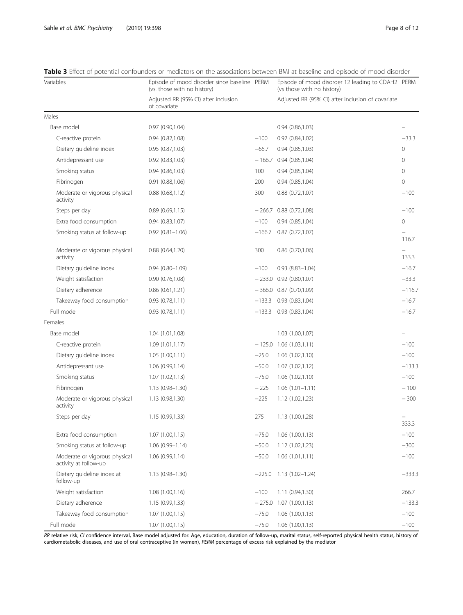| Variables                                              | Episode of mood disorder since baseline PERM<br>(vs. those with no history) |          | Episode of mood disorder 12 leading to CDAH2 PERM<br>(vs those with no history) |              |  |
|--------------------------------------------------------|-----------------------------------------------------------------------------|----------|---------------------------------------------------------------------------------|--------------|--|
|                                                        | Adjusted RR (95% CI) after inclusion<br>of covariate                        |          | Adjusted RR (95% CI) after inclusion of covariate                               |              |  |
| Males                                                  |                                                                             |          |                                                                                 |              |  |
| Base model                                             | 0.97(0.90, 1.04)                                                            |          | 0.94(0.86, 1.03)                                                                |              |  |
| C-reactive protein                                     | 0.94(0.82,1.08)                                                             | $-100$   | 0.92(0.84, 1.02)                                                                | $-33.3$      |  |
| Dietary guideline index                                | 0.95(0.87,1.03)                                                             | $-66.7$  | 0.94(0.85,1.03)                                                                 | $\circ$      |  |
| Antidepressant use                                     | 0.92(0.83, 1.03)                                                            |          | $-166.7$ 0.94 (0.85,1.04)                                                       | $\mathbf{0}$ |  |
| Smoking status                                         | 0.94(0.86, 1.03)                                                            | 100      | 0.94(0.85, 1.04)                                                                | 0            |  |
| Fibrinogen                                             | 0.91(0.88, 1.06)                                                            | 200      | 0.94(0.85, 1.04)                                                                | $\Omega$     |  |
| Moderate or vigorous physical<br>activity              | 0.88(0.68, 1.12)                                                            | 300      | $0.88$ $(0.72, 1.07)$                                                           | $-100$       |  |
| Steps per day                                          | 0.89(0.69,1.15)                                                             | $-266.7$ | 0.88(0.72,1.08)                                                                 | $-100$       |  |
| Extra food consumption                                 | 0.94(0.83,1.07)                                                             | $-100$   | 0.94(0.85, 1.04)                                                                | 0            |  |
| Smoking status at follow-up                            | $0.92$ $(0.81 - 1.06)$                                                      | $-166.7$ | 0.87(0.72,1.07)                                                                 | 116.7        |  |
| Moderate or vigorous physical<br>activity              | $0.88$ $(0.64, 1.20)$                                                       | 300      | $0.86$ $(0.70, 1.06)$                                                           | 133.3        |  |
| Dietary guideline index                                | $0.94(0.80 - 1.09)$                                                         | $-100$   | $0.93(8.83 - 1.04)$                                                             | $-16.7$      |  |
| Weight satisfaction                                    | 0.90(0.76, 1.08)                                                            |          | $-233.0$ 0.92 (0.80,1.07)                                                       | $-33.3$      |  |
| Dietary adherence                                      | 0.86(0.61, 1.21)                                                            |          | $-366.0$ 0.87 (0.70,1.09)                                                       | $-116.7$     |  |
| Takeaway food consumption                              | 0.93(0.78,1.11)                                                             | $-133.3$ | 0.93(0.83, 1.04)                                                                | $-16.7$      |  |
| Full model                                             | 0.93(0.78,1.11)                                                             | $-133.3$ | 0.93(0.83, 1.04)                                                                | $-16.7$      |  |
| Females                                                |                                                                             |          |                                                                                 |              |  |
| Base model                                             | 1.04 (1.01,1.08)                                                            |          | 1.03 (1.00,1.07)                                                                |              |  |
| C-reactive protein                                     | 1.09(1.01, 1.17)                                                            |          | $-125.0$ 1.06 (1.03,1.11)                                                       | $-100$       |  |
| Dietary guideline index                                | 1.05(1.00, 1.11)                                                            | $-25.0$  | 1.06 (1.02,1.10)                                                                | $-100$       |  |
| Antidepressant use                                     | 1.06(0.99,1.14)                                                             | $-50.0$  | 1.07(1.02,1.12)                                                                 | $-133.3$     |  |
| Smoking status                                         | 1.07(1.02, 1.13)                                                            | $-75.0$  | 1.06(1.02,1.10)                                                                 | $-100$       |  |
| Fibrinogen                                             | $1.13(0.98 - 1.30)$                                                         | $-225$   | $1.06(1.01 - 1.11)$                                                             | $-100$       |  |
| Moderate or vigorous physical<br>activity              | 1.13 (0.98,1.30)                                                            | $-225$   | 1.12(1.02, 1.23)                                                                | $-300$       |  |
| Steps per day                                          | 1.15 (0.99,1.33)                                                            | 275      | 1.13 (1.00,1.28)                                                                | 333.3        |  |
| Extra food consumption                                 | 1.07(1.00, 1.15)                                                            | $-75.0$  | 1.06 (1.00,1.13)                                                                | $-100$       |  |
| Smoking status at follow-up                            | $1.06(0.99 - 1.14)$                                                         | $-50.0$  | 1.12 (1.02,1.23)                                                                | $-300$       |  |
| Moderate or vigorous physical<br>activity at follow-up | 1.06(0.99,1.14)                                                             | $-50.0$  | 1.06(1.01, 1.11)                                                                | $-100$       |  |
| Dietary quideline index at<br>follow-up                | 1.13 (0.98-1.30)                                                            | $-225.0$ | $1.13(1.02 - 1.24)$                                                             | $-333.3$     |  |
| Weight satisfaction                                    | 1.08(1.00, 1.16)                                                            | $-100$   | 1.11 (0.94,1.30)                                                                | 266.7        |  |
| Dietary adherence                                      | 1.15 (0.99,1.33)                                                            |          | $-275.0$ 1.07 (1.00,1.13)                                                       | $-133.3$     |  |
| Takeaway food consumption                              | 1.07(1.00, 1.15)                                                            | $-75.0$  | 1.06(1.00, 1.13)                                                                | $-100$       |  |
| Full model                                             | 1.07(1.00, 1.15)                                                            | $-75.0$  | 1.06(1.00, 1.13)                                                                | $-100$       |  |

<span id="page-7-0"></span>Table 3 Effect of potential confounders or mediators on the associations between BMI at baseline and episode of mood disorder

RR relative risk, CI confidence interval, Base model adjusted for: Age, education, duration of follow-up, marital status, self-reported physical health status, history of cardiometabolic diseases, and use of oral contraceptive (in women), PERM percentage of excess risk explained by the mediator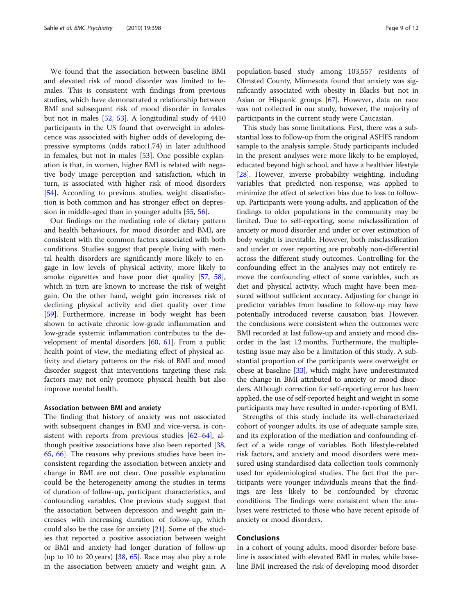We found that the association between baseline BMI and elevated risk of mood disorder was limited to females. This is consistent with findings from previous studies, which have demonstrated a relationship between BMI and subsequent risk of mood disorder in females but not in males [\[52](#page-10-0), [53](#page-10-0)]. A longitudinal study of 4410 participants in the US found that overweight in adolescence was associated with higher odds of developing depressive symptoms (odds ratio:1.74) in later adulthood in females, but not in males [\[53\]](#page-10-0). One possible explanation is that, in women, higher BMI is related with negative body image perception and satisfaction, which in turn, is associated with higher risk of mood disorders [[54\]](#page-10-0). According to previous studies, weight dissatisfaction is both common and has stronger effect on depression in middle-aged than in younger adults [\[55](#page-10-0), [56](#page-10-0)].

Our findings on the mediating role of dietary pattern and health behaviours, for mood disorder and BMI, are consistent with the common factors associated with both conditions. Studies suggest that people living with mental health disorders are significantly more likely to engage in low levels of physical activity, more likely to smoke cigarettes and have poor diet quality [\[57,](#page-10-0) [58](#page-10-0)], which in turn are known to increase the risk of weight gain. On the other hand, weight gain increases risk of declining physical activity and diet quality over time [[59\]](#page-10-0). Furthermore, increase in body weight has been shown to activate chronic low-grade inflammation and low-grade systemic inflammation contributes to the development of mental disorders [\[60,](#page-10-0) [61](#page-10-0)]. From a public health point of view, the mediating effect of physical activity and dietary patterns on the risk of BMI and mood disorder suggest that interventions targeting these risk factors may not only promote physical health but also improve mental health.

#### Association between BMI and anxiety

The finding that history of anxiety was not associated with subsequent changes in BMI and vice-versa, is consistent with reports from previous studies [\[62](#page-10-0)–[64\]](#page-10-0), although positive associations have also been reported [[38](#page-10-0), [65,](#page-10-0) [66\]](#page-11-0). The reasons why previous studies have been inconsistent regarding the association between anxiety and change in BMI are not clear. One possible explanation could be the heterogeneity among the studies in terms of duration of follow-up, participant characteristics, and confounding variables. One previous study suggest that the association between depression and weight gain increases with increasing duration of follow-up, which could also be the case for anxiety [\[21\]](#page-10-0). Some of the studies that reported a positive association between weight or BMI and anxiety had longer duration of follow-up (up to 10 to 20 years) [[38,](#page-10-0) [65\]](#page-10-0). Race may also play a role in the association between anxiety and weight gain. A population-based study among 103,557 residents of Olmsted County, Minnesota found that anxiety was significantly associated with obesity in Blacks but not in Asian or Hispanic groups [[67\]](#page-11-0). However, data on race was not collected in our study, however, the majority of participants in the current study were Caucasian.

This study has some limitations. First, there was a substantial loss to follow-up from the original ASHFS random sample to the analysis sample. Study participants included in the present analyses were more likely to be employed, educated beyond high school, and have a healthier lifestyle [[28](#page-10-0)]. However, inverse probability weighting, including variables that predicted non-response, was applied to minimize the effect of selection bias due to loss to followup. Participants were young-adults, and application of the findings to older populations in the community may be limited. Due to self-reporting, some misclassification of anxiety or mood disorder and under or over estimation of body weight is inevitable. However, both misclassification and under or over reporting are probably non-differential across the different study outcomes. Controlling for the confounding effect in the analyses may not entirely remove the confounding effect of some variables, such as diet and physical activity, which might have been measured without sufficient accuracy. Adjusting for change in predictor variables from baseline to follow-up may have potentially introduced reverse causation bias. However, the conclusions were consistent when the outcomes were BMI recorded at last follow-up and anxiety and mood disorder in the last 12 months. Furthermore, the multipletesting issue may also be a limitation of this study. A substantial proportion of the participants were overweight or obese at baseline [[33](#page-10-0)], which might have underestimated the change in BMI attributed to anxiety or mood disorders. Although correction for self-reporting error has been applied, the use of self-reported height and weight in some participants may have resulted in under-reporting of BMI.

Strengths of this study include its well-characterized cohort of younger adults, its use of adequate sample size, and its exploration of the mediation and confounding effect of a wide range of variables. Both lifestyle-related risk factors, and anxiety and mood disorders were measured using standardised data collection tools commonly used for epidemiological studies. The fact that the participants were younger individuals means that the findings are less likely to be confounded by chronic conditions. The findings were consistent when the analyses were restricted to those who have recent episode of anxiety or mood disorders.

#### Conclusions

In a cohort of young adults, mood disorder before baseline is associated with elevated BMI in males, while baseline BMI increased the risk of developing mood disorder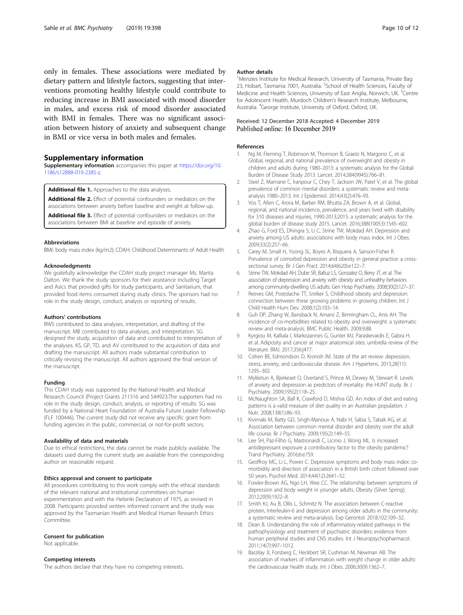<span id="page-9-0"></span>only in females. These associations were mediated by dietary pattern and lifestyle factors, suggesting that interventions promoting healthy lifestyle could contribute to reducing increase in BMI associated with mood disorder in males, and excess risk of mood disorder associated with BMI in females. There was no significant association between history of anxiety and subsequent change in BMI or vice versa in both males and females.

#### Supplementary information

Supplementary information accompanies this paper at [https://doi.org/10.](https://doi.org/10.1186/s12888-019-2385-z) [1186/s12888-019-2385-z](https://doi.org/10.1186/s12888-019-2385-z).

Additional file 1. Approaches to the data analyses.

Additional file 2. Effect of potential confounders or mediators on the associations between anxiety before baseline and weight at follow-up.

Additional file 3. Effect of potential confounders or mediators on the associations between BMI at baseline and episode of anxiety.

#### Abbreviations

BMI: body mass index (kg/m2); CDAH: Childhood Determinants of Adult Health

#### Acknowledgments

We gratefully acknowledge the CDAH study project manager Ms. Marita Dalton. We thank the study sponsors for their assistance including Target and Asics that provided gifts for study participants, and Sanitarium, that provided food items consumed during study clinics. The sponsors had no role in the study design, conduct, analysis or reporting of results.

#### Authors' contributions

BWS contributed to data analyses, interpretation, and drafting of the manuscript. MB contributed to data analyses, and interpretation. SG designed the study, acquisition of data and contributed to interpretation of the analyses. KS, GP, TD, and AV contributed to the acquisition of data and drafting the manuscript. All authors made substantial contribution to critically revising the manuscript. All authors approved the final version of the manuscript.

#### Funding

This CDAH study was supported by the National Health and Medical Research Council (Project Grants 211316 and 544923.The supporters had no role in the study design, conduct, analysis, or reporting of results. SG was funded by a National Heart Foundation of Australia Future Leader Fellowship (FLF 100446). The current study did not receive any specific grant from funding agencies in the public, commercial, or not-for-profit sectors.

#### Availability of data and materials

Due to ethical restrictions, the data cannot be made publicly available. The datasets used during the current study are available from the corresponding author on reasonable request.

#### Ethics approval and consent to participate

All procedures contributing to this work comply with the ethical standards of the relevant national and institutional committees on human experimentation and with the Helsinki Declaration of 1975, as revised in 2008. Participants provided written informed consent and the study was approved by the Tasmanian Health and Medical Human Research Ethics **Committee** 

#### Consent for publication

Not applicable.

#### Competing interests

The authors declare that they have no competing interests.

#### Author details

<sup>1</sup>Menzies Institute for Medical Research, University of Tasmania, Private Bag 23, Hobart, Tasmania 7001, Australia. <sup>2</sup>School of Health Sciences, Faculty of Medicine and Health Sciences, University of East Anglia, Norwich, UK.<sup>3</sup>Centre for Adolescent Health, Murdoch Children's Research Institute, Melbourne, Australia. <sup>4</sup> George Institute, University of Oxford, Oxford, UK.

#### Received: 12 December 2018 Accepted: 4 December 2019 Published online: 16 December 2019

#### References

- 1. Ng M, Fleming T, Robinson M, Thomson B, Graetz N, Margono C, et al. Global, regional, and national prevalence of overweight and obesity in children and adults during 1980–2013: a systematic analysis for the Global Burden of Disease Study 2013. Lancet. 2014;384(9945):766–81.
- 2. Steel Z, Marnane C, Iranpour C, Chey T, Jackson JW, Patel V, et al. The global prevalence of common mental disorders: a systematic review and metaanalysis 1980–2013. Int J Epidemiol. 2014;43(2):476–93.
- 3. Vos T, Allen C, Arora M, Barber RM, Bhutta ZA, Brown A, et al. Global, regional, and national incidence, prevalence, and years lived with disability for 310 diseases and injuries, 1990-2013;2015: a systematic analysis for the global burden of disease study 2015. Lancet. 2016;388(10053):1545–602.
- 4. Zhao G, Ford ES, Dhingra S, Li C, Strine TW, Mokdad AH. Depression and anxiety among US adults: associations with body mass index. Int J Obes. 2009;33(2):257–66.
- 5. Carey M, Small H, Yoong SL, Boyes A, Bisquera A, Sanson-Fisher R. Prevalence of comorbid depression and obesity in general practice: a crosssectional survey. Br J Gen Pract. 2014;64(620):e122–7.
- 6. Strine TW, Mokdad AH, Dube SR, Balluz LS, Gonzalez O, Berry JT, et al. The association of depression and anxiety with obesity and unhealthy behaviors among community-dwelling US adults. Gen Hosp Psychiatry. 2008;30(2):127–37.
- 7. Reeves GM, Postolache TT, Snitker S. Childhood obesity and depression: connection between these growing problems in growing children. Int J Child Health Hum Dev. 2008;1(2):103–14.
- 8. Guh DP, Zhang W, Bansback N, Amarsi Z, Birmingham CL, Anis AH. The incidence of co-morbidities related to obesity and overweight: a systematic review and meta-analysis. BMC Public Health. 2009;9:88.
- 9. Kyrgiou M, Kalliala I, Markozannes G, Gunter MJ, Paraskevaidis E, Gabra H, et al. Adiposity and cancer at major anatomical sites: umbrella review of the literature. BMJ. 2017;356:j477.
- 10. Cohen BE, Edmondson D, Kronish IM. State of the art review: depression, stress, anxiety, and cardiovascular disease. Am J Hypertens. 2015;28(11): 1295–302.
- 11. Mykletun A, Bjerkeset O, Overland S, Prince M, Dewey M, Stewart R. Levels of anxiety and depression as predictors of mortality: the HUNT study. Br J Psychiatry. 2009;195(2):118–25.
- 12. McNaughton SA, Ball K, Crawford D, Mishra GD. An index of diet and eating patterns is a valid measure of diet quality in an Australian population. J Nutr. 2008;138(1):86–93.
- 13. Kivimaki M, Batty GD, Singh-Manoux A, Nabi H, Sabia S, Tabak AG, et al. Association between common mental disorder and obesity over the adult life course. Br J Psychiatry. 2009;195(2):149–55.
- 14. Lee SH, Paz-Filho G, Mastronardi C, Licinio J, Wong ML. Is increased antidepressant exposure a contributory factor to the obesity pandemic? Transl Psychiatry. 2016;6:e759.
- 15. Geoffroy MC, Li L, Power C. Depressive symptoms and body mass index: comorbidity and direction of association in a British birth cohort followed over 50 years. Psychol Med. 2014;44(12):2641–52.
- 16. Fowler-Brown AG, Ngo LH, Wee CC. The relationship between symptoms of depression and body weight in younger adults. Obesity (Silver Spring). 2012;20(9):1922–8.
- 17. Smith KJ, Au B, Ollis L, Schmitz N. The association between C-reactive protein, Interleukin-6 and depression among older adults in the community: a systematic review and meta-analysis. Exp Gerontol. 2018;102:109–32.
- 18. Dean B. Understanding the role of inflammatory-related pathways in the pathophysiology and treatment of psychiatric disorders: evidence from human peripheral studies and CNS studies. Int J Neuropsychopharmacol. 2011;14(7):997–1012.
- 19. Barzilay JI, Forsberg C, Heckbert SR, Cushman M, Newman AB. The association of markers of inflammation with weight change in older adults: the cardiovascular health study. Int J Obes. 2006;30(9):1362–7.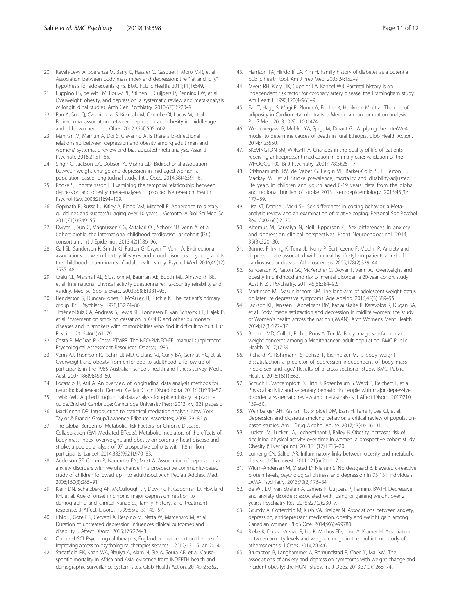- <span id="page-10-0"></span>20. Revah-Levy A, Speranza M, Barry C, Hassler C, Gasquet I, Moro M-R, et al. Association between body mass index and depression: the "fat and jolly" hypothesis for adolescents girls. BMC Public Health. 2011;11(1):649.
- 21. Luppino FS, de Wit LM, Bouvy PF, Stijnen T, Cuijpers P, Penninx BW, et al. Overweight, obesity, and depression: a systematic review and meta-analysis of longitudinal studies. Arch Gen Psychiatry. 2010;67(3):220–9.
- 22. Pan A, Sun Q, Czernichow S, Kivimaki M, Okereke OI, Lucas M, et al. Bidirectional association between depression and obesity in middle-aged and older women. Int J Obes. 2012;36(4):595–602.
- 23. Mannan M, Mamun A, Doi S, Clavarino A. Is there a bi-directional relationship between depression and obesity among adult men and women? Systematic review and bias-adjusted meta analysis. Asian J Psychiatr. 2016;21:51–66.
- 24. Singh G, Jackson CA, Dobson A, Mishra GD. Bidirectional association between weight change and depression in mid-aged women: a population-based longitudinal study. Int J Obes. 2014;38(4):591–6.
- 25. Rooke S, Thorsteinsson E. Examining the temporal relationship between depression and obesity: meta-analyses of prospective research. Health Psychol Rev. 2008;2(1):94–109.
- 26. Gopinath B, Russell J, Kifley A, Flood VM, Mitchell P. Adherence to dietary guidelines and successful aging over 10 years. J Gerontol A Biol Sci Med Sci. 2016;71(3):349–55.
- 27. Dwyer T, Sun C, Magnussen CG, Raitakari OT, Schork NJ, Venn A, et al. Cohort profile: the international childhood cardiovascular cohort (i3C) consortium. Int J Epidemiol. 2013;42(1):86–96.
- 28. Gall SL, Sanderson K, Smith KJ, Patton G, Dwyer T, Venn A. Bi-directional associations between healthy lifestyles and mood disorders in young adults: the childhood determinants of adult health study. Psychol Med. 2016;46(12): 2535–48.
- 29. Craig CL, Marshall AL, Sjostrom M, Bauman AE, Booth ML, Ainsworth BE, et al. International physical activity questionnaire: 12-country reliability and validity. Med Sci Sports Exerc. 2003;35(8):1381–95.
- 30. Henderson S, Duncan-Jones P, McAuley H, Ritchie K. The patient's primary group. Br J Psychiatry. 1978;132:74–86.
- 31. Jiménez-Ruiz CA, Andreas S, Lewis KE, Tonnesen P, van Schayck CP, Hajek P, et al. Statement on smoking cessation in COPD and other pulmonary diseases and in smokers with comorbidities who find it difficult to quit. Eur Respir J. 2015;46(1):61–79.
- 32. Costa P, McCrae R. Costa PTMRR. The NEO-PI/NEO-FFI manual supplement. Psychological Assessment Resources: Odessa; 1989.
- 33. Venn AJ, Thomson RJ, Schmidt MD, Cleland VJ, Curry BA, Gennat HC, et al. Overweight and obesity from childhood to adulthood: a follow-up of participants in the 1985 Australian schools health and fitness survey. Med J Aust. 2007;186(9):458–60.
- 34. Locascio JJ, Atri A. An overview of longitudinal data analysis methods for neurological research. Dement Geriatr Cogn Disord Extra. 2011;1(1):330–57.
- 35. Twisk JWR. Applied longitudinal data analysis for epidemiology : a practical guide. 2nd ed. Cambridge: Cambridge University Press; 2013. xiv, 321 pages p
- 36. MacKinnon DP. Introduction to statistical mediation analysis. New York: Taylor & Francis Group/Lawrence Erlbaum Associates; 2008. 79–86 p
- 37. The Global Burden of Metabolic Risk Factors for Chronic Diseases Collaboration (BMI Mediated Effects). Metabolic mediators of the effects of body-mass index, overweight, and obesity on coronary heart disease and stroke: a pooled analysis of 97 prospective cohorts with 1.8 million participants. Lancet. 2014;383(9921):970–83.
- 38. Anderson SE, Cohen P, Naumova EN, Must A. Association of depression and anxiety disorders with weight change in a prospective community-based study of children followed up into adulthood. Arch Pediatr Adolesc Med. 2006;160(3):285–91.
- 39. Klein DN, Schatzberg AF, McCullough JP, Dowling F, Goodman D, Howland RH, et al. Age of onset in chronic major depression: relation to demographic and clinical variables, family history, and treatment response. J Affect Disord. 1999;55(2–3):149–57.
- 40. Ghio L, Gotelli S, Cervetti A, Respino M, Natta W, Marcenaro M, et al. Duration of untreated depression influences clinical outcomes and disability. J Affect Disord. 2015;175:224–8.
- 41. Centre HaSCI. Psychological therapies, England: annual report on the use of Improving access to psychological therapies services – 2012/13. 15 Jan 2014.
- 42. Streatfield PK, Khan WA, Bhuiya A, Alam N, Sie A, Soura AB, et al. Causespecific mortality in Africa and Asia: evidence from INDEPTH health and demographic surveillance system sites. Glob Health Action. 2014;7:25362.
- 43. Harrison TA, Hindorff LA, Kim H. Family history of diabetes as a potential public health tool. Am J Prev Med. 2003;24:152–9.
- 44. Myers RH, Kiely DK, Cupples LA, Kannel WB. Parental history is an independent risk factor for coronary artery disease: the Framingham study. Am Heart J. 1990;120(4):963–9.
- 45. Fall T, Hägg S, Mägi R, Ploner A, Fischer K, Horikoshi M, et al. The role of adiposity in Cardiometabolic traits: a Mendelian randomization analysis. PLoS Med. 2013;10(6):e1001474.
- 46. Weldearegawi B, Melaku YA, Spigt M, Dinant GJ. Applying the InterVA-4 model to determine causes of death in rural Ethiopia. Glob Health Action. 2014;7:25550.
- 47. SKEVINGTON SM, WRIGHT A. Changes in the quality of life of patients receiving antidepressant medication in primary care: validation of the WHOQOL-100. Br J Psychiatry. 2001;178(3):261–7.
- 48. Krishnamurthi RV, de Veber G, Feigin VL, Barker-Collo S, Fullerton H, Mackay MT, et al. Stroke prevalence, mortality and disability-adjusted life years in children and youth aged 0-19 years: data from the global and regional burden of stroke 2013. Neuroepidemiology. 2015;45(3): 177–89.
- 49. Lisa KT, Denise J, Vicki SH. Sex differences in coping behavior: a Metaanalytic review and an examination of relative coping. Personal Soc Psychol Rev. 2002;6(1):2–30.
- 50. Altemus M, Sarvaiya N, Neill Epperson C. Sex differences in anxiety and depression clinical perspectives. Front Neuroendocrinol. 2014; 35(3):320–30.
- 51. Bonnet F, Irving K, Terra JL, Nony P, Berthezene F, Moulin P. Anxiety and depression are associated with unhealthy lifestyle in patients at risk of cardiovascular disease. Atherosclerosis. 2005;178(2):339–44.
- Sanderson K, Patton GC, McKercher C, Dwyer T, Venn AJ. Overweight and obesity in childhood and risk of mental disorder: a 20-year cohort study. Aust N Z J Psychiatry. 2011;45(5):384–92.
- 53. Martinson ML, Vasunilashorn SM. The long-arm of adolescent weight status on later life depressive symptoms. Age Ageing. 2016;45(3):389–95.
- 54. Jackson KL, Janssen I, Appelhans BM, Kazlauskaite R, Karavolos K, Dugan SA, et al. Body image satisfaction and depression in midlife women: the study of Women's health across the nation (SWAN). Arch Womens Ment Health. 2014;17(3):177–87.
- 55. Bibiloni MD, Coll JL, Pich J, Pons A, Tur JA. Body image satisfaction and weight concerns among a Mediterranean adult population. BMC Public Health. 2017;17:39.
- 56. Richard A, Rohrmann S, Lohse T, Eichholzer M. Is body weight dissatisfaction a predictor of depression independent of body mass index, sex and age? Results of a cross-sectional study. BMC Public Health. 2016;16(1):863.
- 57. Schuch F, Vancampfort D, Firth J, Rosenbaum S, Ward P, Reichert T, et al. Physical activity and sedentary behavior in people with major depressive disorder: a systematic review and meta-analysis. J Affect Disord. 2017;210: 139–50.
- 58. Weinberger AH, Kashan RS, Shpigel DM, Esan H, Taha F, Lee CJ, et al. Depression and cigarette smoking behavior: a critical review of populationbased studies. Am J Drug Alcohol Abuse. 2017;43(4):416–31.
- 59. Tucker JM, Tucker LA, Lecheminant J, Bailey B. Obesity increases risk of declining physical activity over time in women: a prospective cohort study. Obesity (Silver Spring). 2013;21(12):E715–20.
- 60. Lumeng CN, Saltiel AR. Inflammatory links between obesity and metabolic disease. J Clin Invest. 2011;121(6):2111–7.
- 61. Wium-Andersen M, Ørsted D, Nielsen S, Nordestgaard B. Elevated c-reactive protein levels, psychological distress, and depression in 73 131 individuals. JAMA Psychiatry. 2013;70(2):176–84.
- 62. de Wit LM, van Straten A, Lamers F, Cuijpers P, Penninx BWJH. Depressive and anxiety disorders: associated with losing or gaining weight over 2 years? Psychiatry Res. 2015;227(2):230–7.
- 63. Grundy A, Cotterchio M, Kirsh VA, Kreiger N. Associations between anxiety, depression, antidepressant medication, obesity and weight gain among Canadian women. PLoS One. 2014;9(6):e99780.
- 64. Rieke K, Durazo-Arvizu R, Liu K, Michos ED, Luke A, Kramer H. Association between anxiety levels and weight change in the multiethnic study of atherosclerosis. J Obes. 2014;2014:6.
- 65. Brumpton B, Langhammer A, Romundstad P, Chen Y, Mai XM. The associations of anxiety and depression symptoms with weight change and incident obesity: the HUNT study. Int J Obes. 2013;37(9):1268–74.